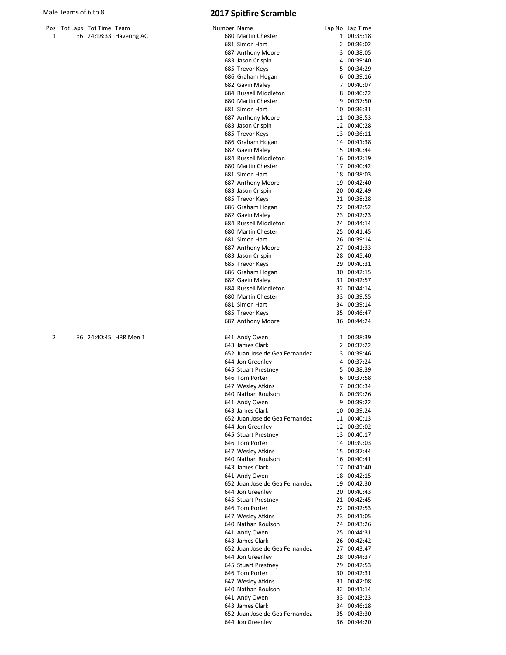|  | Pos Tot Laps Tot Time Team |                         |
|--|----------------------------|-------------------------|
|  |                            | 36 24:18:33 Havering AC |

|   | Pos Tot Laps Tot Time Team |                         | Number Name |                                                    | Lap No Lap Time            |
|---|----------------------------|-------------------------|-------------|----------------------------------------------------|----------------------------|
| 1 |                            | 36 24:18:33 Havering AC |             | 680 Martin Chester                                 | 1 00:35:18                 |
|   |                            |                         |             | 681 Simon Hart                                     | 2 00:36:02                 |
|   |                            |                         |             |                                                    |                            |
|   |                            |                         |             | 687 Anthony Moore                                  | 3 00:38:05                 |
|   |                            |                         |             | 683 Jason Crispin                                  | 4 00:39:40                 |
|   |                            |                         |             | 685 Trevor Keys                                    | 5 00:34:29                 |
|   |                            |                         |             | 686 Graham Hogan                                   | 6 00:39:16                 |
|   |                            |                         |             |                                                    |                            |
|   |                            |                         |             | 682 Gavin Maley                                    | 7 00:40:07                 |
|   |                            |                         |             | 684 Russell Middleton                              | 8 00:40:22                 |
|   |                            |                         |             | 680 Martin Chester                                 | 9 00:37:50                 |
|   |                            |                         |             | 681 Simon Hart                                     | 10 00:36:31                |
|   |                            |                         |             |                                                    |                            |
|   |                            |                         |             | 687 Anthony Moore                                  | 11 00:38:53                |
|   |                            |                         |             | 683 Jason Crispin                                  | 12 00:40:28                |
|   |                            |                         |             | 685 Trevor Keys                                    | 13 00:36:11                |
|   |                            |                         |             | 686 Graham Hogan                                   | 14 00:41:38                |
|   |                            |                         |             |                                                    |                            |
|   |                            |                         |             | 682 Gavin Maley                                    | 15 00:40:44                |
|   |                            |                         |             | 684 Russell Middleton                              | 16 00:42:19                |
|   |                            |                         |             | 680 Martin Chester                                 | 17 00:40:42                |
|   |                            |                         |             | 681 Simon Hart                                     | 18 00:38:03                |
|   |                            |                         |             |                                                    |                            |
|   |                            |                         |             | 687 Anthony Moore                                  | 19 00:42:40                |
|   |                            |                         |             | 683 Jason Crispin                                  | 20 00:42:49                |
|   |                            |                         |             | 685 Trevor Keys                                    | 21 00:38:28                |
|   |                            |                         |             | 686 Graham Hogan                                   | 22 00:42:52                |
|   |                            |                         |             |                                                    |                            |
|   |                            |                         |             | 682 Gavin Maley                                    | 23 00:42:23                |
|   |                            |                         |             | 684 Russell Middleton                              | 24 00:44:14                |
|   |                            |                         |             | 680 Martin Chester                                 | 25 00:41:45                |
|   |                            |                         |             | 681 Simon Hart                                     | 26 00:39:14                |
|   |                            |                         |             |                                                    |                            |
|   |                            |                         |             | 687 Anthony Moore                                  | 27 00:41:33                |
|   |                            |                         |             | 683 Jason Crispin                                  | 28 00:45:40                |
|   |                            |                         |             | 685 Trevor Keys                                    | 29 00:40:31                |
|   |                            |                         |             | 686 Graham Hogan                                   | 30 00:42:15                |
|   |                            |                         |             |                                                    |                            |
|   |                            |                         |             | 682 Gavin Maley                                    | 31 00:42:57                |
|   |                            |                         |             | 684 Russell Middleton                              | 32 00:44:14                |
|   |                            |                         |             | 680 Martin Chester                                 | 33 00:39:55                |
|   |                            |                         |             | 681 Simon Hart                                     | 34 00:39:14                |
|   |                            |                         |             |                                                    |                            |
|   |                            |                         |             | 685 Trevor Keys                                    | 35 00:46:47                |
|   |                            |                         |             | 687 Anthony Moore                                  | 36 00:44:24                |
| 2 |                            | 36 24:40:45 HRR Men 1   |             | 641 Andy Owen<br>643 James Clark                   | 1 00:38:39<br>2 00:37:22   |
|   |                            |                         |             | 652 Juan Jose de Gea Fernandez                     |                            |
|   |                            |                         |             |                                                    | 3 00:39:46                 |
|   |                            |                         |             | 644 Jon Greenley                                   | 4 00:37:24                 |
|   |                            |                         |             | 645 Stuart Prestney                                | 5 00:38:39                 |
|   |                            |                         |             | 646 Tom Porter                                     | 6 00:37:58                 |
|   |                            |                         |             | 647 Wesley Atkins                                  | 7 00:36:34                 |
|   |                            |                         |             |                                                    |                            |
|   |                            |                         |             | 640 Nathan Roulson                                 | 8 00:39:26                 |
|   |                            |                         |             | 641 Andy Owen                                      | 9 00:39:22                 |
|   |                            |                         |             | 643 James Clark                                    | 10 00:39:24                |
|   |                            |                         |             | 652 Juan Jose de Gea Fernandez                     |                            |
|   |                            |                         |             |                                                    | 11 00:40:13                |
|   |                            |                         |             | 644 Jon Greenley                                   | 12 00:39:02                |
|   |                            |                         |             | 645 Stuart Prestney                                | 13 00:40:17                |
|   |                            |                         |             | 646 Tom Porter                                     | 14 00:39:03                |
|   |                            |                         |             |                                                    |                            |
|   |                            |                         |             | 647 Wesley Atkins                                  | 15 00:37:44                |
|   |                            |                         |             | 640 Nathan Roulson                                 | 16 00:40:41                |
|   |                            |                         |             | 643 James Clark                                    | 17 00:41:40                |
|   |                            |                         |             | 641 Andy Owen                                      | 18 00:42:15                |
|   |                            |                         |             |                                                    |                            |
|   |                            |                         |             | 652 Juan Jose de Gea Fernandez                     | 19 00:42:30                |
|   |                            |                         |             | 644 Jon Greenley                                   | 20 00:40:43                |
|   |                            |                         |             | 645 Stuart Prestney                                | 21 00:42:45                |
|   |                            |                         |             | 646 Tom Porter                                     | 22 00:42:53                |
|   |                            |                         |             |                                                    |                            |
|   |                            |                         |             | 647 Wesley Atkins                                  | 23 00:41:05                |
|   |                            |                         |             | 640 Nathan Roulson                                 | 24 00:43:26                |
|   |                            |                         |             | 641 Andy Owen                                      | 25 00:44:31                |
|   |                            |                         |             | 643 James Clark                                    | 26 00:42:42                |
|   |                            |                         |             |                                                    |                            |
|   |                            |                         |             | 652 Juan Jose de Gea Fernandez                     | 27 00:43:47                |
|   |                            |                         |             | 644 Jon Greenley                                   | 28 00:44:37                |
|   |                            |                         |             | 645 Stuart Prestney                                | 29 00:42:53                |
|   |                            |                         |             | 646 Tom Porter                                     | 30 00:42:31                |
|   |                            |                         |             |                                                    |                            |
|   |                            |                         |             | 647 Wesley Atkins                                  | 31 00:42:08                |
|   |                            |                         |             | 640 Nathan Roulson                                 | 32 00:41:14                |
|   |                            |                         |             |                                                    |                            |
|   |                            |                         |             |                                                    |                            |
|   |                            |                         |             | 641 Andy Owen                                      | 33 00:43:23                |
|   |                            |                         |             | 643 James Clark                                    | 34 00:46:18                |
|   |                            |                         |             | 652 Juan Jose de Gea Fernandez<br>644 Jon Greenley | 35 00:43:30<br>36 00:44:20 |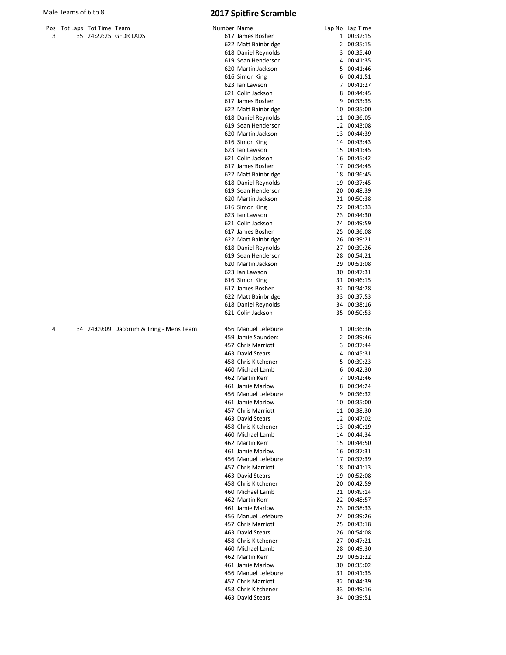|   | Pos Tot Laps Tot Time Team |                       |
|---|----------------------------|-----------------------|
| 3 |                            | 35 24:22:25 GFDR LADS |

|   | Pos Tot Laps Tot Time Team |                                         | Number Name |                     |   | Lap No Lap Time |
|---|----------------------------|-----------------------------------------|-------------|---------------------|---|-----------------|
| 3 |                            | 35 24:22:25 GFDR LADS                   |             | 617 James Bosher    |   | 1 00:32:15      |
|   |                            |                                         |             | 622 Matt Bainbridge |   | 2 00:35:15      |
|   |                            |                                         |             | 618 Daniel Reynolds |   | 3 00:35:40      |
|   |                            |                                         |             | 619 Sean Henderson  |   | 4 00:41:35      |
|   |                            |                                         |             | 620 Martin Jackson  |   | 5 00:41:46      |
|   |                            |                                         |             | 616 Simon King      |   | 6 00:41:51      |
|   |                            |                                         |             | 623 Ian Lawson      |   | 7 00:41:27      |
|   |                            |                                         |             | 621 Colin Jackson   |   | 8 00:44:45      |
|   |                            |                                         |             | 617 James Bosher    |   | 9 00:33:35      |
|   |                            |                                         |             | 622 Matt Bainbridge |   | 10 00:35:00     |
|   |                            |                                         |             | 618 Daniel Reynolds |   | 11 00:36:05     |
|   |                            |                                         |             | 619 Sean Henderson  |   | 12 00:43:08     |
|   |                            |                                         |             | 620 Martin Jackson  |   | 13 00:44:39     |
|   |                            |                                         |             | 616 Simon King      |   | 14 00:43:43     |
|   |                            |                                         |             | 623 Ian Lawson      |   | 15 00:41:45     |
|   |                            |                                         |             | 621 Colin Jackson   |   | 16 00:45:42     |
|   |                            |                                         |             | 617 James Bosher    |   | 17 00:34:45     |
|   |                            |                                         |             | 622 Matt Bainbridge |   | 18 00:36:45     |
|   |                            |                                         |             | 618 Daniel Reynolds |   | 19 00:37:45     |
|   |                            |                                         |             | 619 Sean Henderson  |   |                 |
|   |                            |                                         |             | 620 Martin Jackson  |   | 20 00:48:39     |
|   |                            |                                         |             |                     |   | 21 00:50:38     |
|   |                            |                                         |             | 616 Simon King      |   | 22 00:45:33     |
|   |                            |                                         |             | 623 Ian Lawson      |   | 23 00:44:30     |
|   |                            |                                         |             | 621 Colin Jackson   |   | 24 00:49:59     |
|   |                            |                                         |             | 617 James Bosher    |   | 25 00:36:08     |
|   |                            |                                         |             | 622 Matt Bainbridge |   | 26 00:39:21     |
|   |                            |                                         |             | 618 Daniel Reynolds |   | 27 00:39:26     |
|   |                            |                                         |             | 619 Sean Henderson  |   | 28 00:54:21     |
|   |                            |                                         |             | 620 Martin Jackson  |   | 29 00:51:08     |
|   |                            |                                         |             | 623 Ian Lawson      |   | 30 00:47:31     |
|   |                            |                                         |             | 616 Simon King      |   | 31 00:46:15     |
|   |                            |                                         |             | 617 James Bosher    |   | 32 00:34:28     |
|   |                            |                                         |             | 622 Matt Bainbridge |   | 33 00:37:53     |
|   |                            |                                         |             | 618 Daniel Reynolds |   | 34 00:38:16     |
|   |                            |                                         |             | 621 Colin Jackson   |   | 35 00:50:53     |
| 4 |                            | 34 24:09:09 Dacorum & Tring - Mens Team |             | 456 Manuel Lefebure |   | 1 00:36:36      |
|   |                            |                                         |             | 459 Jamie Saunders  |   | 2 00:39:46      |
|   |                            |                                         |             | 457 Chris Marriott  |   | 3 00:37:44      |
|   |                            |                                         |             | 463 David Stears    |   | 4 00:45:31      |
|   |                            |                                         |             | 458 Chris Kitchener |   | 5 00:39:23      |
|   |                            |                                         |             | 460 Michael Lamb    |   | 6 00:42:30      |
|   |                            |                                         |             | 462 Martin Kerr     |   | 7 00:42:46      |
|   |                            |                                         |             | 461 Jamie Marlow    |   | 8 00:34:24      |
|   |                            |                                         |             | 456 Manuel Lefebure | 9 | 00:36:32        |
|   |                            |                                         |             | 461 Jamie Marlow    |   | 10 00:35:00     |
|   |                            |                                         |             | 457 Chris Marriott  |   | 11 00:38:30     |
|   |                            |                                         |             | 463 David Stears    |   | 12 00:47:02     |
|   |                            |                                         |             | 458 Chris Kitchener |   | 13 00:40:19     |
|   |                            |                                         |             | 460 Michael Lamb    |   | 14 00:44:34     |
|   |                            |                                         |             | 462 Martin Kerr     |   | 15 00:44:50     |
|   |                            |                                         |             | 461 Jamie Marlow    |   | 16 00:37:31     |
|   |                            |                                         |             |                     |   |                 |
|   |                            |                                         |             | 456 Manuel Lefebure |   | 17 00:37:39     |
|   |                            |                                         |             | 457 Chris Marriott  |   | 18 00:41:13     |
|   |                            |                                         |             | 463 David Stears    |   | 19 00:52:08     |
|   |                            |                                         |             | 458 Chris Kitchener |   | 20 00:42:59     |
|   |                            |                                         |             | 460 Michael Lamb    |   | 21 00:49:14     |
|   |                            |                                         |             | 462 Martin Kerr     |   | 22 00:48:57     |
|   |                            |                                         |             | 461 Jamie Marlow    |   | 23 00:38:33     |
|   |                            |                                         |             | 456 Manuel Lefebure |   | 24 00:39:26     |
|   |                            |                                         |             | 457 Chris Marriott  |   | 25 00:43:18     |
|   |                            |                                         |             | 463 David Stears    |   | 26 00:54:08     |
|   |                            |                                         |             | 458 Chris Kitchener |   | 27 00:47:21     |
|   |                            |                                         |             | 460 Michael Lamb    |   | 28 00:49:30     |
|   |                            |                                         |             | 462 Martin Kerr     |   | 29 00:51:22     |
|   |                            |                                         |             | 461 Jamie Marlow    |   | 30 00:35:02     |
|   |                            |                                         |             | 456 Manuel Lefebure |   | 31 00:41:35     |
|   |                            |                                         |             | 457 Chris Marriott  |   | 32 00:44:39     |
|   |                            |                                         |             | 458 Chris Kitchener |   | 33 00:49:16     |
|   |                            |                                         |             | 463 David Stears    |   | 34 00:39:51     |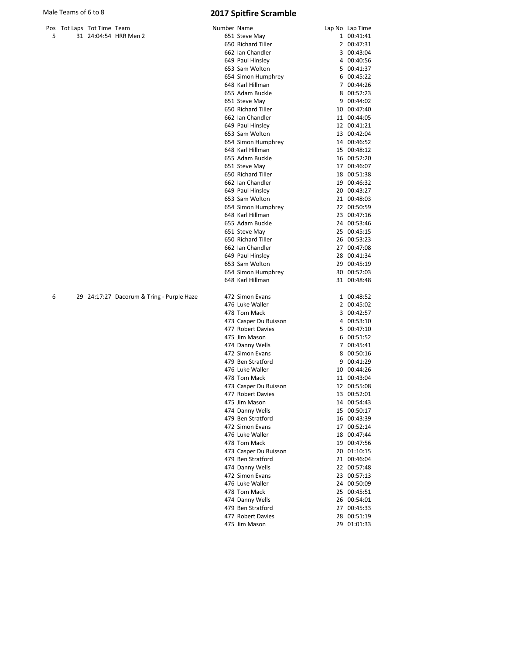476 Luke Waller 10 00:44:26<br>478 Tom Mack 11 00:43:04

473 Casper Du Buisson 12 00:55:08<br>477 Robert Davies 13 00:52:01 477 Robert Davies 13 00:52:01<br>475 Jim Mason 14 00:54:43

474 Danny Wells 15 00:50:17 479 Ben Stratford 16 00:43:39 472 Simon Evans 17 00:52:14 476 Luke Waller 18 00:47:44 478 Tom Mack 19 00:47:56 473 Casper Du Buisson 20 01:10:15<br>479 Ben Stratford 21 00:46:04

474 Danny Wells 22 00:57:48 472 Simon Evans 23 00:57:13<br>476 Luke Waller 24 00:50:09 476 Luke Waller 24 00:50:09<br>478 Tom Mack 25 00:45:51

474 Danny Wells 26 00:54:01 479 Ben Stratford 27 00:45:33 477 Robert Davies 28 00:51:19

478 Tom Mack

475 Jim Mason

479 Ben Stratford

478 Tom Mack

475 Jim Mason

|   | Male Teams of 6 to 8       |                                           |             | <b>2017 Spitfire Scramble</b> |                 |
|---|----------------------------|-------------------------------------------|-------------|-------------------------------|-----------------|
|   | Pos Tot Laps Tot Time Team |                                           | Number Name |                               | Lap No Lap Time |
| 5 |                            | 31 24:04:54 HRR Men 2                     |             | 651 Steve May                 | 1 00:41:41      |
|   |                            |                                           |             | 650 Richard Tiller            | 2 00:47:31      |
|   |                            |                                           |             | 662 Ian Chandler              | 3 00:43:04      |
|   |                            |                                           |             | 649 Paul Hinsley              | 4 00:40:56      |
|   |                            |                                           |             | 653 Sam Wolton                | 5 00:41:37      |
|   |                            |                                           |             | 654 Simon Humphrey            | 6 00:45:22      |
|   |                            |                                           |             | 648 Karl Hillman              | 7 00:44:26      |
|   |                            |                                           |             | 655 Adam Buckle               | 8 00:52:23      |
|   |                            |                                           |             | 651 Steve May                 | 9 00:44:02      |
|   |                            |                                           |             | 650 Richard Tiller            | 10 00:47:40     |
|   |                            |                                           |             | 662 Ian Chandler              | 11 00:44:05     |
|   |                            |                                           |             | 649 Paul Hinsley              | 12 00:41:21     |
|   |                            |                                           |             | 653 Sam Wolton                | 13 00:42:04     |
|   |                            |                                           |             | 654 Simon Humphrey            | 14 00:46:52     |
|   |                            |                                           |             | 648 Karl Hillman              | 15 00:48:12     |
|   |                            |                                           |             | 655 Adam Buckle               | 16 00:52:20     |
|   |                            |                                           |             | 651 Steve May                 | 17 00:46:07     |
|   |                            |                                           |             | 650 Richard Tiller            | 18 00:51:38     |
|   |                            |                                           |             | 662 Ian Chandler              | 19 00:46:32     |
|   |                            |                                           |             | 649 Paul Hinsley              | 20 00:43:27     |
|   |                            |                                           |             | 653 Sam Wolton                | 21 00:48:03     |
|   |                            |                                           |             | 654 Simon Humphrey            | 22 00:50:59     |
|   |                            |                                           |             | 648 Karl Hillman              | 23 00:47:16     |
|   |                            |                                           |             | 655 Adam Buckle               | 24 00:53:46     |
|   |                            |                                           |             | 651 Steve May                 | 25 00:45:15     |
|   |                            |                                           |             | 650 Richard Tiller            | 26 00:53:23     |
|   |                            |                                           |             | 662 Ian Chandler              | 27 00:47:08     |
|   |                            |                                           |             | 649 Paul Hinsley              | 28 00:41:34     |
|   |                            |                                           |             | 653 Sam Wolton                | 29 00:45:19     |
|   |                            |                                           |             | 654 Simon Humphrey            | 30 00:52:03     |
|   |                            |                                           |             | 648 Karl Hillman              | 31 00:48:48     |
| 6 |                            | 29 24:17:27 Dacorum & Tring - Purple Haze |             | 472 Simon Evans               | 1 00:48:52      |
|   |                            |                                           |             | 476 Luke Waller               | 2 00:45:02      |
|   |                            |                                           |             | 478 Tom Mack                  | 3 00:42:57      |
|   |                            |                                           |             | 473 Casper Du Buisson         | 4 00:53:10      |
|   |                            |                                           |             | 477 Robert Davies             | 5 00:47:10      |
|   |                            |                                           |             | 475 Jim Mason                 | 6 00:51:52      |
|   |                            |                                           |             | 474 Danny Wells               | 7 00:45:41      |
|   |                            |                                           |             | 472 Simon Evans               | 8 00:50:16      |
|   |                            |                                           |             | 479 Ben Stratford             | 9 00:41:29      |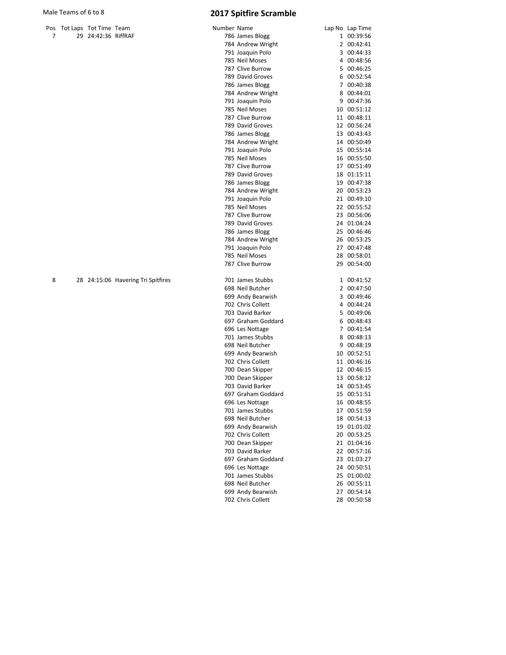## Pos Tot Laps Tot Time Team and Number 2012 7 29 24:42:36 RiffRAF

# Male Teams of 6 to 8 2017 Spitfire Scramble

| umber Name |                                     |                | Lap No Lap Time |
|------------|-------------------------------------|----------------|-----------------|
|            | 786 James Blogg                     | $\mathbf{1}$   | 00:39:56        |
|            | 784 Andrew Wright                   |                | 2 00:42:41      |
|            | 791 Joaquin Polo                    | 3              | 00:44:33        |
|            | 785 Neil Moses                      | 4              | 00:48:56        |
|            | 787 Clive Burrow                    | 5              | 00:46:25        |
|            | 789 David Groves                    | 6              | 00:52:54        |
|            | 786 James Blogg                     | 7              | 00:40:38        |
|            | 784 Andrew Wright                   | 8              | 00:44:01        |
|            | 791 Joaquin Polo                    | 9              | 00:47:36        |
|            | 785 Neil Moses                      | 10             | 00:51:12        |
|            | 787 Clive Burrow                    | 11             | 00:48:11        |
|            | 789 David Groves                    |                | 12 00:56:24     |
|            | 786 James Blogg                     |                | 13 00:43:43     |
|            | 784 Andrew Wright                   | 14             | 00:50:49        |
|            | 791 Joaquin Polo                    | 15             | 00:55:14        |
|            | 785 Neil Moses                      |                | 16 00:55:50     |
|            | 787 Clive Burrow                    | 17             | 00:51:49        |
|            |                                     |                |                 |
|            | 789 David Groves                    | 18             | 01:15:11        |
|            | 786 James Blogg                     |                | 19 00:47:38     |
|            | 784 Andrew Wright                   | 20<br>21       | 00:53:23        |
|            | 791 Joaquin Polo                    |                | 00:49:10        |
|            | 785 Neil Moses                      | 22             | 00:55:52        |
|            | 787 Clive Burrow                    | 23             | 00:56:06        |
|            | 789 David Groves                    |                | 24 01:04:24     |
|            | 786 James Blogg                     | 25             | 00:46:46        |
|            | 784 Andrew Wright                   | 26             | 00:53:25        |
|            | 791 Joaquin Polo                    |                | 27 00:47:48     |
|            | 785 Neil Moses                      | 28             | 00:58:01        |
|            | 787 Clive Burrow                    | 29             | 00:54:00        |
|            | 701 James Stubbs                    | 1              | 00:41:52        |
|            | 698 Neil Butcher                    | $\overline{2}$ | 00:47:50        |
|            | 699 Andy Bearwish                   | 3              | 00:49:46        |
|            | 702 Chris Collett                   | 4              | 00:44:24        |
|            | 703 David Barker                    | 5              | 00:49:06        |
|            | 697 Graham Goddard                  | 6              | 00:48:43        |
|            | 696 Les Nottage                     | 7              | 00:41:54        |
|            | 701 James Stubbs                    | 8              | 00:48:13        |
|            | 698 Neil Butcher                    | 9              | 00:48:19        |
|            | 699 Andy Bearwish                   |                | 10 00:52:51     |
|            | 702 Chris Collett                   |                | 11 00:46:16     |
|            | 700 Dean Skipper                    |                | 12 00:46:15     |
|            | 700 Dean Skipper                    | 13             | 00:58:12        |
|            | 703 David Barker                    | 14             | 00:53:45        |
|            | 697 Graham Goddard                  |                | 15 00:51:51     |
|            | 696 Les Nottage                     | 16             | 00:48:55        |
|            | 701 James Stubbs                    | 17             | 00:51:59        |
|            | 698 Neil Butcher                    | 18             | 00:54:13        |
|            | 699 Andy Bearwish                   | 19             | 01:01:02        |
|            | 702 Chris Collett                   | 20             | 00:53:25        |
|            | 700 Dean Skipper                    | 21             | 01:04:16        |
|            | 703 David Barker                    | 22             | 00:57:16        |
|            | 697 Graham Goddard                  | 23             | 01:03:27        |
|            |                                     | 24             | 00:50:51        |
|            | 696 Les Nottage<br>701 James Stubbs | 25             | 01:00:02        |
|            | 698 Neil Butcher                    | 26             | 00:55:11        |
|            | 699 Andy Bearwish                   | 27             | 00:54:14        |
|            | 702 Chris Collett                   | 28             |                 |
|            |                                     |                | 00:50:58        |

8 28 24:15:06 Havering Tri Spitfires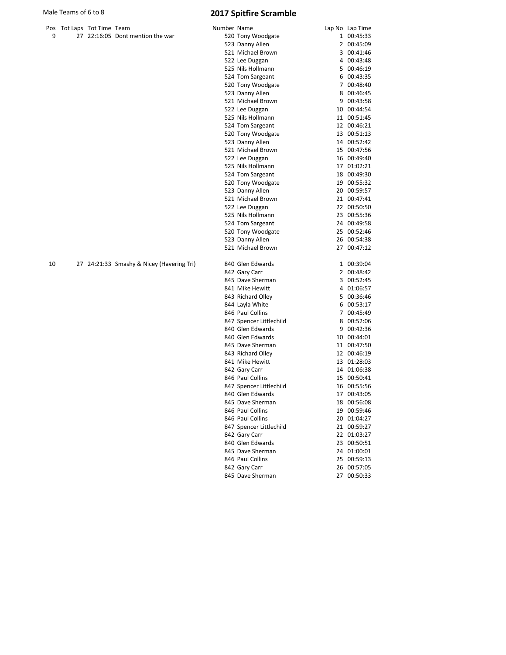|  | Pos Tot Laps Tot Time Team |                                  | Number Name       | Lap No Lap Time |
|--|----------------------------|----------------------------------|-------------------|-----------------|
|  |                            | 27 22:16:05 Dont mention the war | 520 Tony Woodgate | 1 00:45:33      |
|  |                            |                                  |                   | .               |

| ۱S | Tot Laps Tot Time Team |                                           | Number Name |                         | Lap No Lap Time |
|----|------------------------|-------------------------------------------|-------------|-------------------------|-----------------|
| 9  |                        | 27 22:16:05 Dont mention the war          |             | 520 Tony Woodgate       | 1 00:45:33      |
|    |                        |                                           |             | 523 Danny Allen         | 2 00:45:09      |
|    |                        |                                           |             | 521 Michael Brown       | 3 00:41:46      |
|    |                        |                                           |             | 522 Lee Duggan          | 4 00:43:48      |
|    |                        |                                           |             | 525 Nils Hollmann       | 5 00:46:19      |
|    |                        |                                           |             | 524 Tom Sargeant        | 6 00:43:35      |
|    |                        |                                           |             | 520 Tony Woodgate       | 7 00:48:40      |
|    |                        |                                           |             | 523 Danny Allen         | 8 00:46:45      |
|    |                        |                                           |             | 521 Michael Brown       | 9 00:43:58      |
|    |                        |                                           |             | 522 Lee Duggan          | 10 00:44:54     |
|    |                        |                                           |             | 525 Nils Hollmann       | 11 00:51:45     |
|    |                        |                                           |             | 524 Tom Sargeant        | 12 00:46:21     |
|    |                        |                                           |             | 520 Tony Woodgate       | 13 00:51:13     |
|    |                        |                                           |             | 523 Danny Allen         | 14 00:52:42     |
|    |                        |                                           |             | 521 Michael Brown       | 15 00:47:56     |
|    |                        |                                           |             | 522 Lee Duggan          | 16 00:49:40     |
|    |                        |                                           |             | 525 Nils Hollmann       | 17 01:02:21     |
|    |                        |                                           |             | 524 Tom Sargeant        | 18 00:49:30     |
|    |                        |                                           |             | 520 Tony Woodgate       | 19 00:55:32     |
|    |                        |                                           |             | 523 Danny Allen         | 20 00:59:57     |
|    |                        |                                           |             | 521 Michael Brown       | 21 00:47:41     |
|    |                        |                                           |             | 522 Lee Duggan          | 22 00:50:50     |
|    |                        |                                           |             | 525 Nils Hollmann       | 23 00:55:36     |
|    |                        |                                           |             | 524 Tom Sargeant        | 24 00:49:58     |
|    |                        |                                           |             | 520 Tony Woodgate       | 25 00:52:46     |
|    |                        |                                           |             | 523 Danny Allen         | 26 00:54:38     |
|    |                        |                                           |             | 521 Michael Brown       | 27 00:47:12     |
| 0  |                        | 27 24:21:33 Smashy & Nicey (Havering Tri) |             | 840 Glen Edwards        | 1 00:39:04      |
|    |                        |                                           |             | 842 Gary Carr           | 2 00:48:42      |
|    |                        |                                           |             | 845 Dave Sherman        | 3 00:52:45      |
|    |                        |                                           |             | 841 Mike Hewitt         | 4 01:06:57      |
|    |                        |                                           |             | 843 Richard Olley       | 5 00:36:46      |
|    |                        |                                           |             | 844 Layla White         | 6 00:53:17      |
|    |                        |                                           |             | 846 Paul Collins        | 7 00:45:49      |
|    |                        |                                           |             | 847 Spencer Littlechild | 8 00:52:06      |
|    |                        |                                           |             | 840 Glen Edwards        | 9 00:42:36      |
|    |                        |                                           |             | 840 Glen Edwards        | 10 00:44:01     |
|    |                        |                                           |             | 845 Dave Sherman        | 11 00:47:50     |
|    |                        |                                           |             | 843 Richard Olley       | 12 00:46:19     |
|    |                        |                                           |             | 841 Mike Hewitt         | 13 01:28:03     |
|    |                        |                                           |             | 842 Gary Carr           | 14 01:06:38     |
|    |                        |                                           |             | 846 Paul Collins        | 15 00:50:41     |
|    |                        |                                           |             | 847 Spencer Littlechild | 16 00:55:56     |
|    |                        |                                           |             | 840 Glen Edwards        | 17 00:43:05     |
|    |                        |                                           |             | 845 Dave Sherman        | 18 00:56:08     |
|    |                        |                                           |             | 846 Paul Collins        | 19 00:59:46     |
|    |                        |                                           |             | 846 Paul Collins        | 20 01:04:27     |
|    |                        |                                           |             | 847 Spencer Littlechild | 21 00:59:27     |
|    |                        |                                           |             | 842 Gary Carr           | 22 01:03:27     |
|    |                        |                                           |             | 840 Glen Edwards        | 23 00:50:51     |
|    |                        |                                           |             | 845 Dave Sherman        | 24 01:00:01     |
|    |                        |                                           |             | 846 Paul Collins        | 25 00:59:13     |
|    |                        |                                           |             | 842 Gary Carr           | 26 00:57:05     |
|    |                        |                                           |             | 845 Dave Sherman        | 27 00:50:33     |
|    |                        |                                           |             |                         |                 |